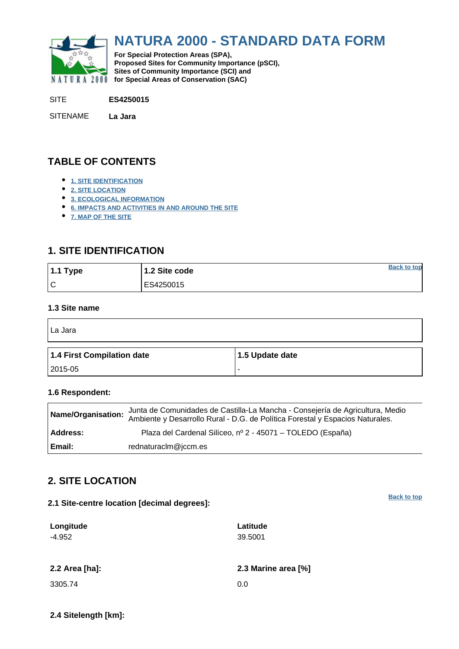<span id="page-0-0"></span>

# **NATURA 2000 - STANDARD DATA FORM**

**For Special Protection Areas (SPA), Proposed Sites for Community Importance (pSCI), Sites of Community Importance (SCI) and NATURA 2000** for Special Areas of Conservation (SAC)

SITE **ES4250015**

SITENAME **La Jara**

## **TABLE OF CONTENTS**

- **[1. SITE IDENTIFICATION](#page-0-1)**
- **[2. SITE LOCATION](#page-0-2)**
- **[3. ECOLOGICAL INFORMATION](#page-1-0)**
- **[6. IMPACTS AND ACTIVITIES IN AND AROUND THE SITE](#page-3-0)**
- **[7. MAP OF THE SITE](#page-3-1)**

### <span id="page-0-1"></span>**1. SITE IDENTIFICATION**

| $1.1$ Type | 1.2 Site code | <b>Back to top</b> |
|------------|---------------|--------------------|
| l C        | ES4250015     |                    |

#### **1.3 Site name**

 $\blacksquare$ 

| La Jara                    |                 |
|----------------------------|-----------------|
| 1.4 First Compilation date | 1.5 Update date |
| 2015-05                    |                 |

### **1.6 Respondent:**

| Name/Organisation: | Junta de Comunidades de Castilla-La Mancha - Consejería de Agricultura, Medio<br>Ambiente y Desarrollo Rural - D.G. de Política Forestal y Espacios Naturales. |
|--------------------|----------------------------------------------------------------------------------------------------------------------------------------------------------------|
| Address:           | Plaza del Cardenal Silíceo, nº 2 - 45071 – TOLEDO (España)                                                                                                     |
| Email:             | rednaturaclm@jccm.es                                                                                                                                           |

### <span id="page-0-2"></span>**2. SITE LOCATION**

| 2.1 Site-centre location [decimal degrees]: | <b>Back to top</b>  |
|---------------------------------------------|---------------------|
| Longitude<br>$-4.952$                       | Latitude<br>39.5001 |
| 2.2 Area [ha]:                              | 2.3 Marine area [%] |
| 3305.74                                     | 0.0                 |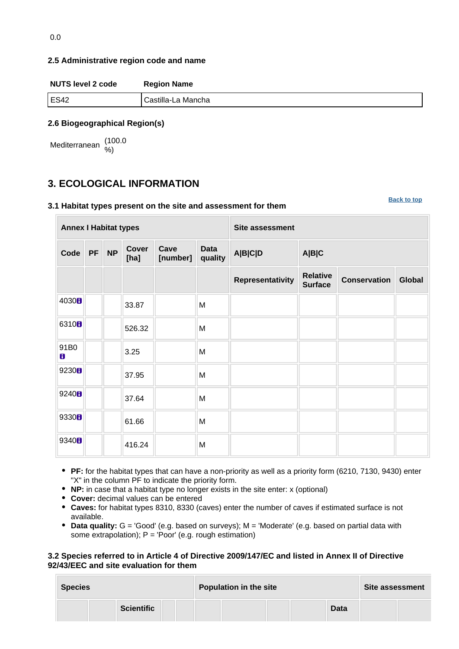#### **2.5 Administrative region code and name**

| <b>NUTS level 2 code</b> | <b>Region Name</b> |
|--------------------------|--------------------|
| ES42                     | Castilla-La Mancha |
|                          |                    |

### **2.6 Biogeographical Region(s)**

Mediterranean (100.0 %)

# <span id="page-1-0"></span>**3. ECOLOGICAL INFORMATION**

#### **3.1 Habitat types present on the site and assessment for them**

**[Back to top](#page-0-0)**

| <b>Annex I Habitat types</b> |           |           |               |                  |                 | <b>Site assessment</b> |                                   |                     |               |
|------------------------------|-----------|-----------|---------------|------------------|-----------------|------------------------|-----------------------------------|---------------------|---------------|
| Code                         | <b>PF</b> | <b>NP</b> | Cover<br>[ha] | Cave<br>[number] | Data<br>quality | A B C D                | A B C                             |                     |               |
|                              |           |           |               |                  |                 | Representativity       | <b>Relative</b><br><b>Surface</b> | <b>Conservation</b> | <b>Global</b> |
| 4030 <sub>0</sub>            |           |           | 33.87         |                  | M               |                        |                                   |                     |               |
| 6310 <sub>B</sub>            |           |           | 526.32        |                  | M               |                        |                                   |                     |               |
| 91B0<br>8                    |           |           | 3.25          |                  | M               |                        |                                   |                     |               |
| 9230H                        |           |           | 37.95         |                  | M               |                        |                                   |                     |               |
| 9240H                        |           |           | 37.64         |                  | M               |                        |                                   |                     |               |
| 9330H                        |           |           | 61.66         |                  | M               |                        |                                   |                     |               |
| 9340 <b>8</b>                |           |           | 416.24        |                  | M               |                        |                                   |                     |               |

- **PF:** for the habitat types that can have a non-priority as well as a priority form (6210, 7130, 9430) enter "X" in the column PF to indicate the priority form.
- **NP:** in case that a habitat type no longer exists in the site enter: x (optional)
- **Cover:** decimal values can be entered
- **Caves:** for habitat types 8310, 8330 (caves) enter the number of caves if estimated surface is not available.
- **Data quality:** G = 'Good' (e.g. based on surveys); M = 'Moderate' (e.g. based on partial data with some extrapolation); P = 'Poor' (e.g. rough estimation)

#### **3.2 Species referred to in Article 4 of Directive 2009/147/EC and listed in Annex II of Directive 92/43/EEC and site evaluation for them**

| <b>Species</b> |                   | Population in the site | <b>Site assessment</b> |  |
|----------------|-------------------|------------------------|------------------------|--|
|                | <b>Scientific</b> |                        | <b>Data</b>            |  |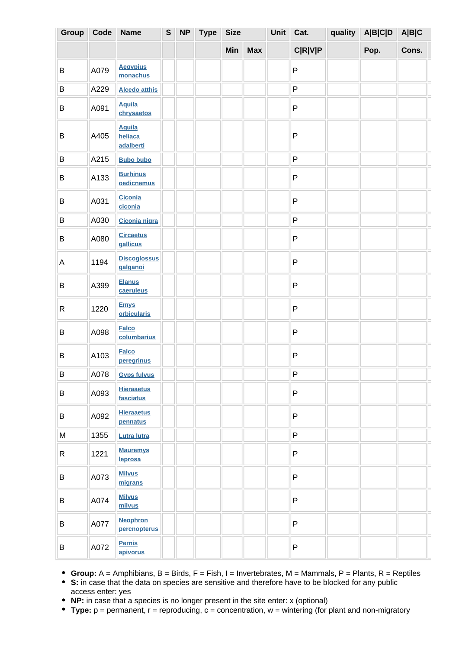| Group       | Code             | <b>Name</b>                           | ${\bf S}$ | <b>NP</b> | <b>Type</b> | <b>Size</b> |            | Unit | Cat.           | quality | A B C D | A B C |  |
|-------------|------------------|---------------------------------------|-----------|-----------|-------------|-------------|------------|------|----------------|---------|---------|-------|--|
|             |                  |                                       |           |           |             | Min         | <b>Max</b> |      | <b>C R V P</b> |         | Pop.    | Cons. |  |
| B           | A079             | <b>Aegypius</b><br>monachus           |           |           |             |             |            |      | ${\sf P}$      |         |         |       |  |
| B           | A229             | <b>Alcedo atthis</b>                  |           |           |             |             |            |      | ${\sf P}$      |         |         |       |  |
| B           | A091             | <b>Aquila</b><br>chrysaetos           |           |           |             |             |            |      | $\sf P$        |         |         |       |  |
| $\sf B$     | A405             | <b>Aquila</b><br>heliaca<br>adalberti |           |           |             |             |            |      | ${\sf P}$      |         |         |       |  |
| $\sf B$     | A215             | <b>Bubo bubo</b>                      |           |           |             |             |            |      | P              |         |         |       |  |
| B           | A133             | <b>Burhinus</b><br>oedicnemus         |           |           |             |             |            |      | ${\sf P}$      |         |         |       |  |
| B           | A031             | <b>Ciconia</b><br>ciconia             |           |           |             |             |            |      | ${\sf P}$      |         |         |       |  |
| $\sf B$     | A030             | Ciconia nigra                         |           |           |             |             |            |      | ${\sf P}$      |         |         |       |  |
| B           | A080             | <b>Circaetus</b><br>gallicus          |           |           |             |             |            |      | $\sf P$        |         |         |       |  |
| $\mathsf A$ | 1194             | <b>Discoglossus</b><br>galganoi       |           |           |             |             |            |      | $\mathsf{P}$   |         |         |       |  |
| $\sf B$     | A399             | <b>Elanus</b><br>caeruleus            |           |           |             |             |            |      | ${\sf P}$      |         |         |       |  |
| ${\sf R}$   | 1220             | <b>Emys</b><br>orbicularis            |           |           |             |             |            |      | $\sf P$        |         |         |       |  |
| $\mathsf B$ | A098             | <b>Falco</b><br>columbarius           |           |           |             |             |            |      | ${\sf P}$      |         |         |       |  |
| $\sf B$     | A103             | <b>Falco</b><br>peregrinus            |           |           |             |             |            |      | $\sf P$        |         |         |       |  |
| B           | $\parallel$ A078 | <b>Gyps fulvus</b>                    |           |           |             |             |            |      | P.             |         |         |       |  |
| B           | A093             | <b>Hieraaetus</b><br>fasciatus        |           |           |             |             |            |      | $\mathsf P$    |         |         |       |  |
| B           | A092             | <b>Hieraaetus</b><br>pennatus         |           |           |             |             |            |      | P              |         |         |       |  |
| M           | 1355             | <b>Lutra lutra</b>                    |           |           |             |             |            |      | P              |         |         |       |  |
| R           | 1221             | <b>Mauremys</b><br>leprosa            |           |           |             |             |            |      | $\mathsf{P}$   |         |         |       |  |
| B           | A073             | <b>Milvus</b><br>migrans              |           |           |             |             |            |      | $\mathsf{P}$   |         |         |       |  |
| B           | A074             | <b>Milvus</b><br>milvus               |           |           |             |             |            |      | $\mathsf{P}$   |         |         |       |  |
| B           | A077             | <b>Neophron</b><br>percnopterus       |           |           |             |             |            |      | $\mathsf P$    |         |         |       |  |
| B           | A072             | <b>Pernis</b><br>apivorus             |           |           |             |             |            |      | P              |         |         |       |  |

**Group:** A = Amphibians, B = Birds, F = Fish, I = Invertebrates, M = Mammals, P = Plants, R = Reptiles

**S:** in case that the data on species are sensitive and therefore have to be blocked for any public access enter: yes

• **NP:** in case that a species is no longer present in the site enter: x (optional)

**Type:** p = permanent, r = reproducing, c = concentration, w = wintering (for plant and non-migratory